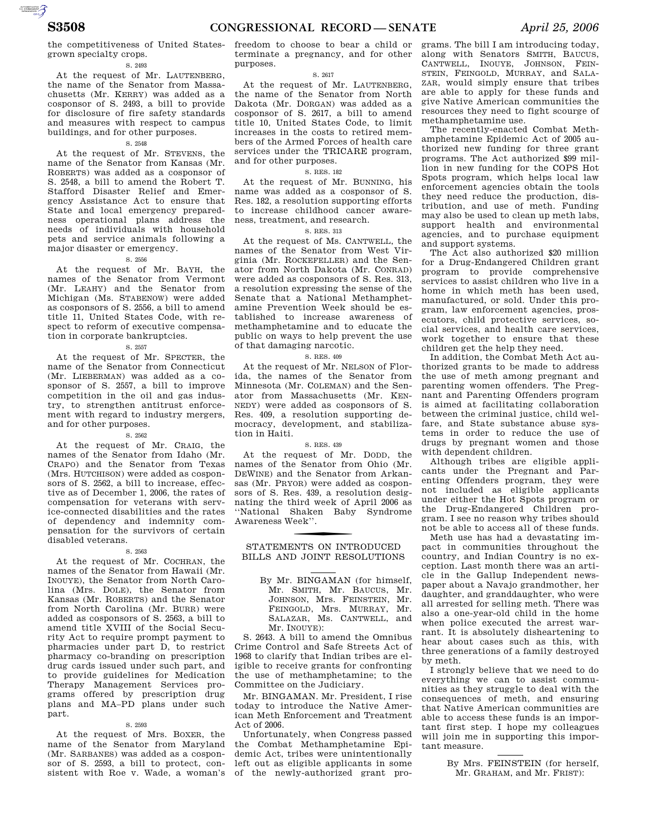the competitiveness of United Statesgrown specialty crops.

#### S. 2493

At the request of Mr. LAUTENBERG, the name of the Senator from Massachusetts (Mr. KERRY) was added as a cosponsor of S. 2493, a bill to provide for disclosure of fire safety standards and measures with respect to campus buildings, and for other purposes.

#### S. 2548

At the request of Mr. STEVENS, the name of the Senator from Kansas (Mr. ROBERTS) was added as a cosponsor of S. 2548, a bill to amend the Robert T. Stafford Disaster Relief and Emergency Assistance Act to ensure that State and local emergency preparedness operational plans address the needs of individuals with household pets and service animals following a major disaster or emergency.

## S. 2556

At the request of Mr. BAYH, the names of the Senator from Vermont (Mr. LEAHY) and the Senator from Michigan (Ms. STABENOW) were added as cosponsors of S. 2556, a bill to amend title 11, United States Code, with respect to reform of executive compensation in corporate bankruptcies.

## S. 2557

At the request of Mr. SPECTER, the name of the Senator from Connecticut (Mr. LIEBERMAN) was added as a cosponsor of S. 2557, a bill to improve competition in the oil and gas industry, to strengthen antitrust enforcement with regard to industry mergers, and for other purposes.

## S. 2562

At the request of Mr. CRAIG, the names of the Senator from Idaho (Mr. CRAPO) and the Senator from Texas (Mrs. HUTCHISON) were added as cosponsors of S. 2562, a bill to increase, effective as of December 1, 2006, the rates of compensation for veterans with service-connected disabilities and the rates of dependency and indemnity compensation for the survivors of certain disabled veterans.

#### S. 2563

At the request of Mr. COCHRAN, the names of the Senator from Hawaii (Mr. INOUYE), the Senator from North Carolina (Mrs. DOLE), the Senator from Kansas (Mr. ROBERTS) and the Senator from North Carolina (Mr. BURR) were added as cosponsors of S. 2563, a bill to amend title XVIII of the Social Security Act to require prompt payment to pharmacies under part D, to restrict pharmacy co-branding on prescription drug cards issued under such part, and to provide guidelines for Medication Therapy Management Services programs offered by prescription drug plans and MA–PD plans under such part.

#### S. 2593

At the request of Mrs. BOXER, the name of the Senator from Maryland (Mr. SARBANES) was added as a cosponsor of S. 2593, a bill to protect, consistent with Roe v. Wade, a woman's freedom to choose to bear a child or terminate a pregnancy, and for other purposes.

#### S. 2617

At the request of Mr. LAUTENBERG, the name of the Senator from North Dakota (Mr. DORGAN) was added as a cosponsor of S. 2617, a bill to amend title 10, United States Code, to limit increases in the costs to retired members of the Armed Forces of health care services under the TRICARE program, and for other purposes.

#### S. RES. 182

At the request of Mr. BUNNING, his name was added as a cosponsor of S. Res. 182, a resolution supporting efforts to increase childhood cancer awareness, treatment, and research.

## S. RES. 313

At the request of Ms. CANTWELL, the names of the Senator from West Virginia (Mr. ROCKEFELLER) and the Senator from North Dakota (Mr. CONRAD) were added as cosponsors of S. Res. 313, a resolution expressing the sense of the Senate that a National Methamphetamine Prevention Week should be established to increase awareness of methamphetamine and to educate the public on ways to help prevent the use of that damaging narcotic.

#### S. RES. 409

At the request of Mr. NELSON of Florida, the names of the Senator from Minnesota (Mr. COLEMAN) and the Senator from Massachusetts (Mr. KEN-NEDY) were added as cosponsors of S. Res. 409, a resolution supporting democracy, development, and stabilization in Haiti.

#### S. RES. 439

At the request of Mr. DODD, the names of the Senator from Ohio (Mr. DEWINE) and the Senator from Arkansas (Mr. PRYOR) were added as cosponsors of S. Res. 439, a resolution designating the third week of April 2006 as ''National Shaken Baby Syndrome Awareness Week''.

STATEMENTS ON INTRODUCED BILLS AND JOINT RESOLUTIONS

S. 2643. A bill to amend the Omnibus Crime Control and Safe Streets Act of 1968 to clarify that Indian tribes are eligible to receive grants for confronting the use of methamphetamine; to the Committee on the Judiciary.

Mr. BINGAMAN. Mr. President, I rise today to introduce the Native American Meth Enforcement and Treatment Act of 2006.

Unfortunately, when Congress passed the Combat Methamphetamine Epidemic Act, tribes were unintentionally left out as eligible applicants in some of the newly-authorized grant pro-

grams. The bill I am introducing today, along with Senators SMITH, BAUCUS, CANTWELL, INOUYE, JOHNSON, FEIN-STEIN, FEINGOLD, MURRAY, and SALA-ZAR, would simply ensure that tribes are able to apply for these funds and give Native American communities the resources they need to fight scourge of methamphetamine use.

The recently-enacted Combat Methamphetamine Epidemic Act of 2005 authorized new funding for three grant programs. The Act authorized \$99 million in new funding for the COPS Hot Spots program, which helps local law enforcement agencies obtain the tools they need reduce the production, distribution, and use of meth. Funding may also be used to clean up meth labs, support health and environmental agencies, and to purchase equipment and support systems.

The Act also authorized \$20 million for a Drug-Endangered Children grant program to provide comprehensive services to assist children who live in a home in which meth has been used, manufactured, or sold. Under this program, law enforcement agencies, prosecutors, child protective services, social services, and health care services, work together to ensure that these children get the help they need.

In addition, the Combat Meth Act authorized grants to be made to address the use of meth among pregnant and parenting women offenders. The Pregnant and Parenting Offenders program is aimed at facilitating collaboration between the criminal justice, child welfare, and State substance abuse systems in order to reduce the use of drugs by pregnant women and those with dependent children.

Although tribes are eligible applicants under the Pregnant and Parenting Offenders program, they were not included as eligible applicants under either the Hot Spots program or the Drug-Endangered Children program. I see no reason why tribes should not be able to access all of these funds.

Meth use has had a devastating impact in communities throughout the country, and Indian Country is no exception. Last month there was an article in the Gallup Independent newspaper about a Navajo grandmother, her daughter, and granddaughter, who were all arrested for selling meth. There was also a one-year-old child in the home when police executed the arrest warrant. It is absolutely disheartening to hear about cases such as this, with three generations of a family destroyed by meth.

I strongly believe that we need to do everything we can to assist communities as they struggle to deal with the consequences of meth, and ensuring that Native American communities are able to access these funds is an important first step. I hope my colleagues will join me in supporting this important measure.

AUTOROTOMICALE CONTINUES

By Mr. BINGAMAN (for himself, Mr. SMITH, Mr. BAUCUS, Mr. JOHNSON, Mrs. FEINSTEIN, Mr. FEINGOLD, Mrs. MURRAY, Mr. SALAZAR, Ms. CANTWELL, and Mr. INOUYE):

By Mrs. FEINSTEIN (for herself, Mr. GRAHAM, and Mr. FRIST):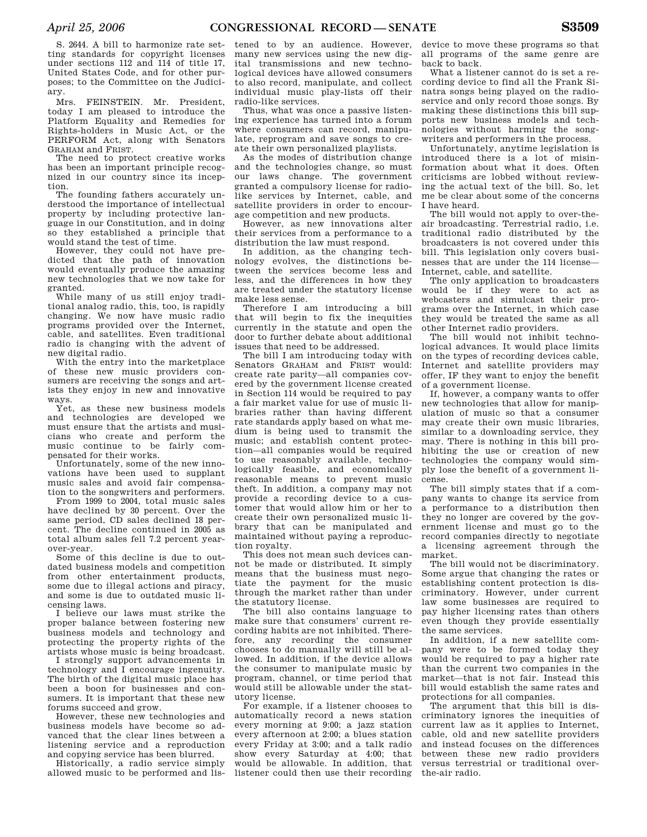S. 2644. A bill to harmonize rate setting standards for copyright licenses under sections 112 and 114 of title 17, United States Code, and for other purposes; to the Committee on the Judiciary.

Mrs. FEINSTEIN. Mr. President, today I am pleased to introduce the Platform Equality and Remedies for Rights-holders in Music Act, or the PERFORM Act, along with Senators GRAHAM and FRIST.

The need to protect creative works has been an important principle recognized in our country since its inception.

The founding fathers accurately understood the importance of intellectual property by including protective language in our Constitution, and in doing so they established a principle that would stand the test of time.

However, they could not have predicted that the path of innovation would eventually produce the amazing new technologies that we now take for granted.

While many of us still enjoy traditional analog radio, this, too, is rapidly changing. We now have music radio programs provided over the Internet, cable, and satellites. Even traditional radio is changing with the advent of new digital radio.

With the entry into the marketplace of these new music providers consumers are receiving the songs and artists they enjoy in new and innovative ways.

Yet, as these new business models and technologies are developed we must ensure that the artists and musicians who create and perform the music continue to be pensated for their works.

Unfortunately, some of the new innovations have been used to supplant music sales and avoid fair compensation to the songwriters and performers.

From 1999 to 2004, total music sales have declined by 30 percent. Over the same period, CD sales declined 18 percent. The decline continued in 2005 as total album sales fell 7.2 percent yearover-year.

Some of this decline is due to outdated business models and competition from other entertainment products, some due to illegal actions and piracy, and some is due to outdated music licensing laws.

I believe our laws must strike the proper balance between fostering new business models and technology and protecting the property rights of the artists whose music is being broadcast.

I strongly support advancements in technology and I encourage ingenuity. The birth of the digital music place has been a boon for businesses and consumers. It is important that these new forums succeed and grow.

However, these new technologies and business models have become so advanced that the clear lines between a listening service and a reproduction and copying service has been blurred.

Historically, a radio service simply allowed music to be performed and lis-

tened to by an audience. However, many new services using the new digital transmissions and new technological devices have allowed consumers to also record, manipulate, and collect individual music play-lists off their radio-like services.

Thus, what was once a passive listening experience has turned into a forum where consumers can record, manipulate, reprogram and save songs to create their own personalized playlists.

As the modes of distribution change and the technologies change, so must our laws change. The government granted a compulsory license for radiolike services by Internet, cable, and satellite providers in order to encourage competition and new products.

However, as new innovations alter their services from a performance to a distribution the law must respond.

In addition, as the changing technology evolves, the distinctions between the services become less and less, and the differences in how they are treated under the statutory license make less sense.

Therefore I am introducing a bill that will begin to fix the inequities currently in the statute and open the door to further debate about additional issues that need to be addressed.

The bill I am introducing today with Senators GRAHAM and FRIST would: create rate parity—all companies covered by the government license created in Section 114 would be required to pay a fair market value for use of music libraries rather than having different rate standards apply based on what medium is being used to transmit the music; and establish content protection—all companies would be required to use reasonably available, technologically feasible, and economically reasonable means to prevent music theft. In addition, a company may not provide a recording device to a customer that would allow him or her to create their own personalized music library that can be manipulated and maintained without paying a reproduction royalty.

This does not mean such devices cannot be made or distributed. It simply means that the business must negotiate the payment for the music through the market rather than under the statutory license.

The bill also contains language to make sure that consumers' current recording habits are not inhibited. Therefore, any recording the consumer chooses to do manually will still be allowed. In addition, if the device allows the consumer to manipulate music by program, channel, or time period that would still be allowable under the statutory license.

For example, if a listener chooses to automatically record a news station every morning at 9:00; a jazz station every afternoon at 2:00; a blues station every Friday at 3:00; and a talk radio show every Saturday at 4:00; that would be allowable. In addition, that listener could then use their recording

device to move these programs so that all programs of the same genre are back to back.

What a listener cannot do is set a recording device to find all the Frank Sinatra songs being played on the radioservice and only record those songs. By making these distinctions this bill supports new business models and technologies without harming the songwriters and performers in the process.

Unfortunately, anytime legislation is introduced there is a lot of misinformation about what it does. Often criticisms are lobbed without reviewing the actual text of the bill. So, let me be clear about some of the concerns I have heard.

The bill would not apply to over-theair broadcasting. Terrestrial radio, i.e. traditional radio distributed by the broadcasters is not covered under this bill. This legislation only covers businesses that are under the 114 license— Internet, cable, and satellite.

The only application to broadcasters would be if they were to act as webcasters and simulcast their programs over the Internet, in which case they would be treated the same as all other Internet radio providers.

The bill would not inhibit technological advances. It would place limits on the types of recording devices cable, Internet and satellite providers may offer, IF they want to enjoy the benefit of a government license.

If, however, a company wants to offer new technologies that allow for manipulation of music so that a consumer may create their own music libraries, similar to a downloading service, they may. There is nothing in this bill prohibiting the use or creation of new technologies the company would simply lose the benefit of a government license.

The bill simply states that if a company wants to change its service from a performance to a distribution then they no longer are covered by the government license and must go to the record companies directly to negotiate a licensing agreement through the market.

The bill would not be discriminatory. Some argue that changing the rates or establishing content protection is discriminatory. However, under current law some businesses are required to pay higher licensing rates than others even though they provide essentially the same services.

In addition, if a new satellite company were to be formed today they would be required to pay a higher rate than the current two companies in the market—that is not fair. Instead this bill would establish the same rates and protections for all companies.

The argument that this bill is discriminatory ignores the inequities of current law as it applies to Internet, cable, old and new satellite providers and instead focuses on the differences between these new radio providers versus terrestrial or traditional overthe-air radio.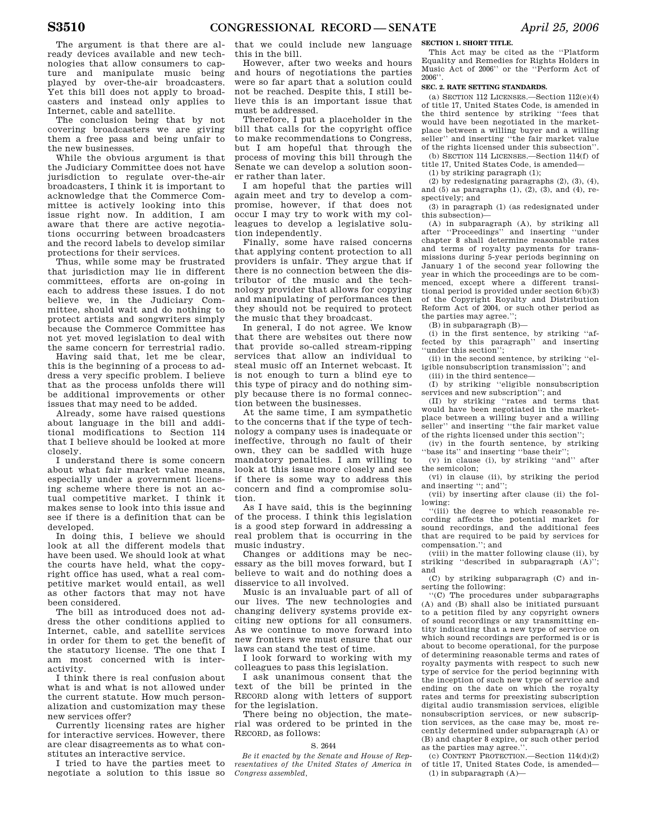The argument is that there are already devices available and new technologies that allow consumers to capture and manipulate music being played by over-the-air broadcasters. Yet this bill does not apply to broadcasters and instead only applies to Internet, cable and satellite.

The conclusion being that by not covering broadcasters we are giving them a free pass and being unfair to the new businesses.

While the obvious argument is that the Judiciary Committee does not have jurisdiction to regulate over-the-air broadcasters, I think it is important to acknowledge that the Commerce Committee is actively looking into this issue right now. In addition, I am aware that there are active negotiations occurring between broadcasters and the record labels to develop similar protections for their services.

Thus, while some may be frustrated that jurisdiction may lie in different committees, efforts are on-going in each to address these issues. I do not believe we, in the Judiciary Committee, should wait and do nothing to protect artists and songwriters simply because the Commerce Committee has not yet moved legislation to deal with the same concern for terrestrial radio.

Having said that, let me be clear, this is the beginning of a process to address a very specific problem. I believe that as the process unfolds there will be additional improvements or other issues that may need to be added.

Already, some have raised questions about language in the bill and additional modifications to Section 114 that I believe should be looked at more closely.

I understand there is some concern about what fair market value means, especially under a government licensing scheme where there is not an actual competitive market. I think it makes sense to look into this issue and see if there is a definition that can be developed.

In doing this, I believe we should look at all the different models that have been used. We should look at what the courts have held, what the copyright office has used, what a real competitive market would entail, as well as other factors that may not have been considered.

The bill as introduced does not address the other conditions applied to Internet, cable, and satellite services in order for them to get the benefit of the statutory license. The one that I am most concerned with is interactivity.

I think there is real confusion about what is and what is not allowed under the current statute. How much personalization and customization may these new services offer?

Currently licensing rates are higher for interactive services. However, there are clear disagreements as to what constitutes an interactive service.

I tried to have the parties meet to negotiate a solution to this issue so that we could include new language this in the bill.

However, after two weeks and hours and hours of negotiations the parties were so far apart that a solution could not be reached. Despite this, I still believe this is an important issue that must be addressed.

Therefore, I put a placeholder in the bill that calls for the copyright office to make recommendations to Congress, but I am hopeful that through the process of moving this bill through the Senate we can develop a solution sooner rather than later.

I am hopeful that the parties will again meet and try to develop a compromise, however, if that does not occur I may try to work with my colleagues to develop a legislative solution independently.

Finally, some have raised concerns that applying content protection to all providers is unfair. They argue that if there is no connection between the distributor of the music and the technology provider that allows for copying and manipulating of performances then they should not be required to protect the music that they broadcast.

In general, I do not agree. We know that there are websites out there now that provide so-called stream-ripping services that allow an individual to steal music off an Internet webcast. It is not enough to turn a blind eye to this type of piracy and do nothing simply because there is no formal connection between the businesses.

At the same time, I am sympathetic to the concerns that if the type of technology a company uses is inadequate or ineffective, through no fault of their own, they can be saddled with huge mandatory penalties. I am willing to look at this issue more closely and see if there is some way to address this concern and find a compromise solution.

As I have said, this is the beginning of the process. I think this legislation is a good step forward in addressing a real problem that is occurring in the music industry.

Changes or additions may be necessary as the bill moves forward, but I believe to wait and do nothing does a disservice to all involved.

Music is an invaluable part of all of our lives. The new technologies and changing delivery systems provide exciting new options for all consumers. As we continue to move forward into new frontiers we must ensure that our laws can stand the test of time.

I look forward to working with my colleagues to pass this legislation.

I ask unanimous consent that the text of the bill be printed in the RECORD along with letters of support for the legislation.

There being no objection, the material was ordered to be printed in the RECORD, as follows:

#### S. 2644

*Be it enacted by the Senate and House of Representatives of the United States of America in Congress assembled,* 

**SECTION 1. SHORT TITLE.** 

This Act may be cited as the ''Platform Equality and Remedies for Rights Holders in Music Act of 2006'' or the ''Perform Act of  $2006$ 

## **SEC. 2. RATE SETTING STANDARDS.**

 $(a)$  SECTION 112 LICENSES  $-$  Section 112 $(e)(4)$ of title 17, United States Code, is amended in the third sentence by striking ''fees that would have been negotiated in the marketplace between a willing buyer and a willing seller'' and inserting ''the fair market value of the rights licensed under this subsection''. (b) SECTION 114 LICENSES.—Section 114(f) of

title 17, United States Code, is amended—

(1) by striking paragraph (1);

(2) by redesignating paragraphs (2), (3), (4), and  $(5)$  as paragraphs  $(1)$ ,  $(2)$ ,  $(3)$ , and  $(4)$ , respectively; and

(3) in paragraph (1) (as redesignated under this subsection)—

(A) in subparagraph (A), by striking all after ''Proceedings'' and inserting ''under chapter 8 shall determine reasonable rates and terms of royalty payments for transmissions during 5-year periods beginning on January 1 of the second year following the year in which the proceedings are to be commenced, except where a different transitional period is provided under section 6(b)(3) of the Copyright Royalty and Distribution Reform Act of 2004, or such other period as the parties may agree.'

(B) in subparagraph (B)—

(i) in the first sentence, by striking ''affected by this paragraph'' and inserting ''under this section'';

(ii) in the second sentence, by striking ''eligible nonsubscription transmission''; and (iii) in the third sentence—

(I) by striking ''eligible nonsubscription services and new subscription''; and

(II) by striking ''rates and terms that would have been negotiated in the marketplace between a willing buyer and a willing seller'' and inserting ''the fair market value of the rights licensed under this section'';

(iv) in the fourth sentence, by striking "base its" and inserting "base their"

(v) in clause (i), by striking ''and'' after the semicolon;

(vi) in clause (ii), by striking the period and inserting ''; and'';

(vii) by inserting after clause (ii) the following:

''(iii) the degree to which reasonable recording affects the potential market for sound recordings, and the additional fees that are required to be paid by services for compensation.''; and

(viii) in the matter following clause (ii), by striking ''described in subparagraph (A)''; and

(C) by striking subparagraph (C) and inserting the following:

''(C) The procedures under subparagraphs (A) and (B) shall also be initiated pursuant to a petition filed by any copyright owners of sound recordings or any transmitting entity indicating that a new type of service on which sound recordings are performed is or is about to become operational, for the purpose of determining reasonable terms and rates of royalty payments with respect to such new type of service for the period beginning with the inception of such new type of service and ending on the date on which the royalty rates and terms for preexisting subscription digital audio transmission services, eligible nonsubscription services, or new subscription services, as the case may be, most recently determined under subparagraph (A) or (B) and chapter 8 expire, or such other period as the parties may agree.''.

(c) CONTENT PROTECTION.—Section 114(d)(2) of title 17, United States Code, is amended—  $(1)$  in subparagraph  $(A)$ —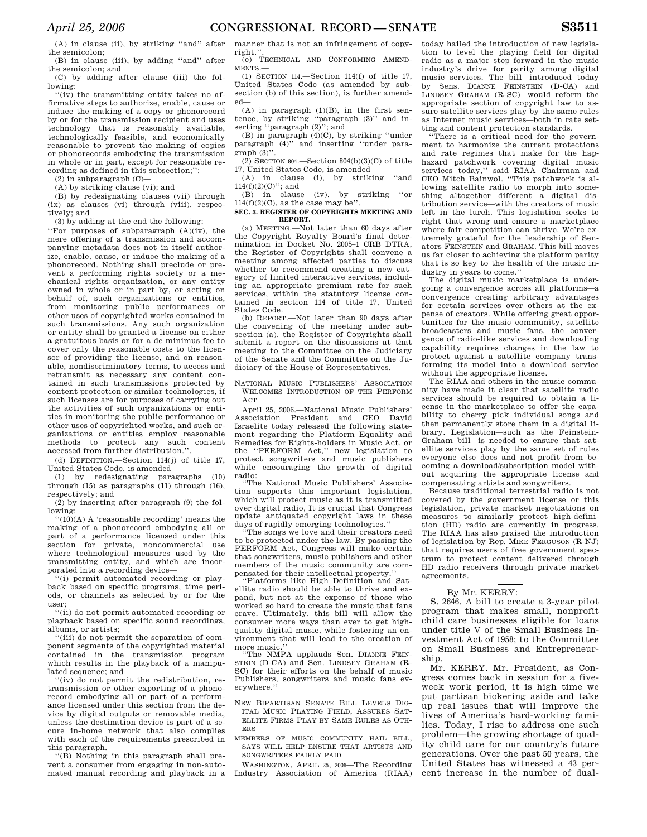(A) in clause (ii), by striking ''and'' after the semicolon;

(B) in clause (iii), by adding ''and'' after the semicolon; and

(C) by adding after clause (iii) the following:

''(iv) the transmitting entity takes no affirmative steps to authorize, enable, cause or induce the making of a copy or phonorecord by or for the transmission recipient and uses technology that is reasonably available, technologically feasible, and economically reasonable to prevent the making of copies or phonorecords embodying the transmission in whole or in part, except for reasonable recording as defined in this subsection;'';

 $(2)$  in subparagraph  $(C)$ —

(A) by striking clause (vi); and

(B) by redesignating clauses (vii) through (ix) as clauses (vi) through (viii), respectively; and

(3) by adding at the end the following:

''For purposes of subparagraph (A)(iv), the mere offering of a transmission and accompanying metadata does not in itself authorize, enable, cause, or induce the making of a phonorecord. Nothing shall preclude or prevent a performing rights society or a mechanical rights organization, or any entity owned in whole or in part by, or acting on behalf of, such organizations or entities, from monitoring public performances or other uses of copyrighted works contained in such transmissions. Any such organization or entity shall be granted a license on either a gratuitous basis or for a de minimus fee to cover only the reasonable costs to the licensor of providing the license, and on reasonable, nondiscriminatory terms, to access and retransmit as necessary any content contained in such transmissions protected by content protection or similar technologies, if such licenses are for purposes of carrying out the activities of such organizations or entities in monitoring the public performance or other uses of copyrighted works, and such organizations or entities employ reasonable methods to protect any such content accessed from further distribution.''.

(d) DEFINITION.—Section 114(j) of title 17, United States Code, is amended—

(1) by redesignating paragraphs (10) through (15) as paragraphs (11) through (16), respectively; and

(2) by inserting after paragraph (9) the following:

 $(10)(A)$  A 'reasonable recording' means the making of a phonorecord embodying all or part of a performance licensed under this section for private, noncommercial use where technological measures used by the transmitting entity, and which are incorporated into a recording device—

''(i) permit automated recording or playback based on specific programs, time periods, or channels as selected by or for the user;

''(ii) do not permit automated recording or playback based on specific sound recordings, albums, or artists;

''(iii) do not permit the separation of component segments of the copyrighted material contained in the transmission program which results in the playback of a manipulated sequence; and

''(iv) do not permit the redistribution, retransmission or other exporting of a phonorecord embodying all or part of a performance licensed under this section from the device by digital outputs or removable media, unless the destination device is part of a secure in-home network that also complies with each of the requirements prescribed in this paragraph.

''(B) Nothing in this paragraph shall prevent a consumer from engaging in non-automated manual recording and playback in a manner that is not an infringement of copyright.''. (e) TECHNICAL AND CONFORMING AMEND-

MENTS.—

(1) SECTION 114.—Section 114(f) of title 17, United States Code (as amended by subsection (b) of this section), is further amended—

 $(A)$  in paragraph  $(1)(B)$ , in the first sentence, by striking ''paragraph (3)'' and inserting ''paragraph (2)''; and

(B) in paragraph  $(4)(C)$ , by striking "under paragraph (4)'' and inserting ''under para $graph (3)$ ".

 $(2)$  SECTION 804.—Section 804 $(b)(3)(C)$  of title 17, United States Code, is amended—

(A) in clause (i), by striking ''and  $114(f)(2)(C)$ "; and

(B) in clause (iv), by striking ''or  $114(f)(2)(C)$ , as the case may be".

#### **SEC. 3. REGISTER OF COPYRIGHTS MEETING AND REPORT.**

(a) MEETING.—Not later than 60 days after the Copyright Royalty Board's final determination in Docket No. 2005–1 CRB DTRA, the Register of Copyrights shall convene a meeting among affected parties to discuss whether to recommend creating a new category of limited interactive services, including an appropriate premium rate for such services, within the statutory license contained in section 114 of title 17, United States Code.

(b) REPORT.—Not later than 90 days after the convening of the meeting under subsection (a), the Register of Copyrights shall submit a report on the discussions at that meeting to the Committee on the Judiciary of the Senate and the Committee on the Judiciary of the House of Representatives.

NATIONAL MUSIC PUBLISHERS' ASSOCIATION WELCOMES INTRODUCTION OF THE PERFORM **ACT** 

April 25, 2006.—National Music Publishers' Association President and CEO David Israelite today released the following statement regarding the Platform Equality and Remedies for Rights-holders in Music Act, or the ''PERFORM Act,'' new legislation to protect songwriters and music publishers while encouraging the growth of digital radio:

''The National Music Publishers' Association supports this important legislation, which will protect music as it is transmitted over digital radio, It is crucial that Congress update antiquated copyright laws in these days of rapidly emerging technologies.''

''The songs we love and their creators need to be protected under the law. By passing the PERFORM Act, Congress will make certain that songwriters, music publishers and other members of the music community are compensated for their intellectual property.

'Platforms like High Definition and Satellite radio should be able to thrive and expand, but not at the expense of those who worked so hard to create the music that fans crave. Ultimately, this bill will allow the consumer more ways than ever to get highquality digital music, while fostering an environment that will lead to the creation of more music.''

''The NMPA applauds Sen. DIANNE FEIN-STEIN (D-CA) and Sen. LINDSEY GRAHAM (R-SC) for their efforts on the behalf of music Publishers, songwriters and music fans everywhere.''

- NEW BIPARTISAN SENATE BILL LEVELS DIG-ITAL MUSIC PLAYING FIELD, ASSURES SAT-ELLITE FIRMS PLAY BY SAME RULES AS OTH-ERS
- MEMBERS OF MUSIC COMMUNITY HAIL BILL, SAYS WILL HELP ENSURE THAT ARTISTS AND SONGWRITERS FAIRLY PAID

WASHINGTON, APRIL 25, 2006—The Recording Industry Association of America (RIAA) today hailed the introduction of new legislation to level the playing field for digital radio as a major step forward in the music industry's drive for parity among digital music services. The bill—introduced today by Sens. DIANNE FEINSTEIN (D-CA) and LINDSEY GRAHAM (R-SC)—would reform the appropriate section of copyright law to assure satellite services play by the same rules as Internet music services—both in rate setting and content protection standards.

''There is a critical need for the government to harmonize the current protections and rate regimes that make for the haphazard patchwork covering digital music services today,'' said RIAA Chairman and CEO Mitch Bainwol. ''This patchwork is allowing satellite radio to morph into something altogether different—a digital distribution service—with the creators of music left in the lurch. This legislation seeks to right that wrong and ensure a marketplace where fair competition can thrive. We're extremely grateful for the leadership of Senators FEINSTEIN and GRAHAM. This bill moves us far closer to achieving the platform parity that is so key to the health of the music industry in years to come.''

The digital music marketplace is undergoing a convergence across all platforms—a convergence creating arbitrary advantages for certain services over others at the expense of creators. While offering great opportunities for the music community, satellite broadcasters and music fans, the convergence of radio-like services and downloading capability requires changes in the law to protect against a satellite company transforming its model into a download service without the appropriate license.

The RIAA and others in the music community have made it clear that satellite radio services should be required to obtain a license in the marketplace to offer the capability to cherry pick individual songs and then permanently store them in a digital library. Legislation—such as the Feinstein-Graham bill—is needed to ensure that satellite services play by the same set of rules everyone else does and not profit from becoming a download/subscription model without acquiring the appropriate license and compensating artists and songwriters.

Because traditional terrestrial radio is not covered by the government license or this legislation, private market negotiations on measures to similarly protect high-definition (HD) radio are currently in progress. The RIAA has also praised the introduction of legislation by Rep. MIKE FERGUSON (R-NJ) that requires users of free government spectrum to protect content delivered through HD radio receivers through private market agreements.

## By Mr. KERRY:

S. 2646. A bill to create a 3-year pilot program that makes small, nonprofit child care businesses eligible for loans under title V of the Small Business Investment Act of 1958; to the Committee on Small Business and Entrepreneurship.

Mr. KERRY. Mr. President, as Congress comes back in session for a fiveweek work period, it is high time we put partisan bickering aside and take up real issues that will improve the lives of America's hard-working families. Today, I rise to address one such problem—the growing shortage of quality child care for our country's future generations. Over the past 50 years, the United States has witnessed a 43 percent increase in the number of dual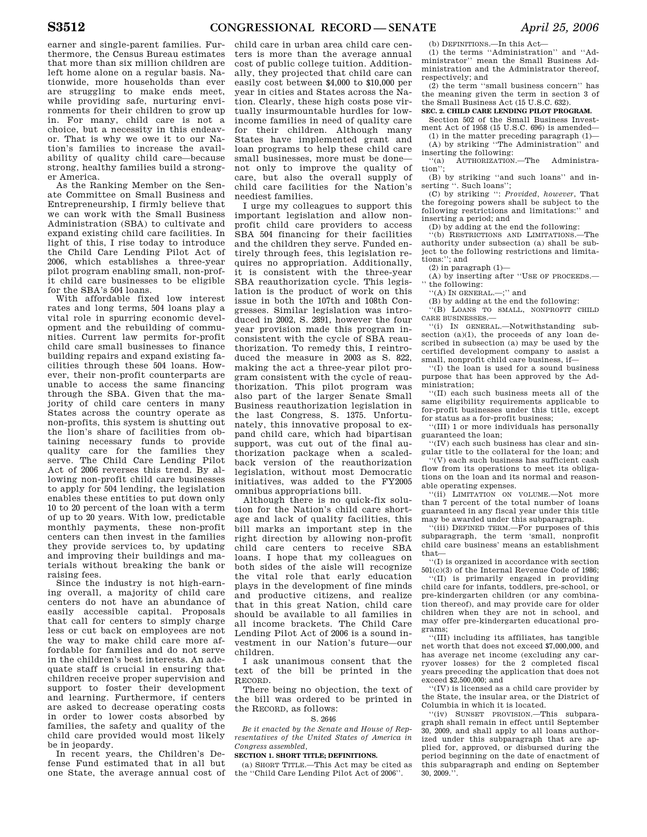earner and single-parent families. Furthermore, the Census Bureau estimates that more than six million children are left home alone on a regular basis. Nationwide, more households than ever are struggling to make ends meet, while providing safe, nurturing environments for their children to grow up in. For many, child care is not a choice, but a necessity in this endeavor. That is why we owe it to our Nation's families to increase the availability of quality child care—because strong, healthy families build a stronger America.

As the Ranking Member on the Senate Committee on Small Business and Entrepreneurship, I firmly believe that we can work with the Small Business Administration (SBA) to cultivate and expand existing child care facilities. In light of this, I rise today to introduce the Child Care Lending Pilot Act of 2006, which establishes a three-year pilot program enabling small, non-profit child care businesses to be eligible for the SBA's 504 loans.

With affordable fixed low interest rates and long terms, 504 loans play a vital role in spurring economic development and the rebuilding of communities. Current law permits for-profit child care small businesses to finance building repairs and expand existing facilities through these 504 loans. However, their non-profit counterparts are unable to access the same financing through the SBA. Given that the majority of child care centers in many States across the country operate as non-profits, this system is shutting out the lion's share of facilities from obtaining necessary funds to provide quality care for the families they serve. The Child Care Lending Pilot Act of 2006 reverses this trend. By allowing non-profit child care businesses to apply for 504 lending, the legislation enables these entities to put down only 10 to 20 percent of the loan with a term of up to 20 years. With low, predictable monthly payments, these non-profit centers can then invest in the families they provide services to, by updating and improving their buildings and materials without breaking the bank or raising fees.

Since the industry is not high-earning overall, a majority of child care centers do not have an abundance of easily accessible capital. Proposals that call for centers to simply charge less or cut back on employees are not the way to make child care more affordable for families and do not serve in the children's best interests. An adequate staff is crucial in ensuring that children receive proper supervision and support to foster their development and learning. Furthermore, if centers are asked to decrease operating costs in order to lower costs absorbed by families, the safety and quality of the child care provided would most likely be in jeopardy.

In recent years, the Children's Defense Fund estimated that in all but one State, the average annual cost of

child care in urban area child care centers is more than the average annual cost of public college tuition. Additionally, they projected that child care can easily cost between \$4,000 to \$10,000 per year in cities and States across the Nation. Clearly, these high costs pose virtually insurmountable hurdles for lowincome families in need of quality care for their children. Although many States have implemented grant and loan programs to help these child care small businesses, more must be done not only to improve the quality of care, but also the overall supply of child care facilities for the Nation's neediest families.

I urge my colleagues to support this important legislation and allow nonprofit child care providers to access SBA 504 financing for their facilities and the children they serve. Funded entirely through fees, this legislation requires no appropriation. Additionally, it is consistent with the three-year SBA reauthorization cycle. This legislation is the product of work on this issue in both the 107th and 108th Congresses. Similar legislation was introduced in 2002, S. 2891, however the four year provision made this program inconsistent with the cycle of SBA reauthorization. To remedy this, I reintroduced the measure in 2003 as S. 822, making the act a three-year pilot program consistent with the cycle of reauthorization. This pilot program was also part of the larger Senate Small Business reauthorization legislation in the last Congress, S. 1375. Unfortunately, this innovative proposal to expand child care, which had bipartisan support, was cut out of the final authorization package when a scaledback version of the reauthorization legislation, without most Democratic initiatives, was added to the FY2005 omnibus appropriations bill.

Although there is no quick-fix solution for the Nation's child care shortage and lack of quality facilities, this bill marks an important step in the right direction by allowing non-profit child care centers to receive SBA loans. I hope that my colleagues on both sides of the aisle will recognize the vital role that early education plays in the development of fine minds and productive citizens, and realize that in this great Nation, child care should be available to all families in all income brackets. The Child Care Lending Pilot Act of 2006 is a sound investment in our Nation's future—our children.

I ask unanimous consent that the text of the bill be printed in the RECORD.

There being no objection, the text of the bill was ordered to be printed in the RECORD, as follows:

## S. 2646

*Be it enacted by the Senate and House of Representatives of the United States of America in Congress assembled,* 

#### **SECTION 1. SHORT TITLE; DEFINITIONS.**

(a) SHORT TITLE.—This Act may be cited as the ''Child Care Lending Pilot Act of 2006''.

(b) DEFINITIONS.—In this Act—

(1) the terms ''Administration'' and ''Administrator'' mean the Small Business Administration and the Administrator thereof, respectively; and

(2) the term ''small business concern'' has the meaning given the term in section 3 of the Small Business Act (15 U.S.C. 632).

## **SEC. 2. CHILD CARE LENDING PILOT PROGRAM.**

Section 502 of the Small Business Investment Act of 1958 (15 U.S.C. 696) is amended— (1) in the matter preceding paragraph (1)—

(A) by striking ''The Administration'' and inserting the following:

''(a) AUTHORIZATION.—The Administration'';

(B) by striking ''and such loans'' and in-serting ''. Such loans'';

(C) by striking '': *Provided, however*, That the foregoing powers shall be subject to the following restrictions and limitations:'' and inserting a period; and

(D) by adding at the end the following:

'(b) RESTRICTIONS AND LIMITATIONS.—The authority under subsection (a) shall be subject to the following restrictions and limitations:''; and

 $(2)$  in paragraph  $(1)$ —

(A) by inserting after ''USE OF PROCEEDS. the following:

''(A) IN GENERAL.—;'' and

(B) by adding at the end the following:

''(B) LOANS TO SMALL, NONPROFIT CHILD CARE BUSINESSES.—

''(i) IN GENERAL.—Notwithstanding subsection (a)(1), the proceeds of any loan described in subsection (a) may be used by the certified development company to assist a small, nonprofit child care business, if—

''(I) the loan is used for a sound business purpose that has been approved by the Administration;

''(II) each such business meets all of the same eligibility requirements applicable to for-profit businesses under this title, except for status as a for-profit business;

''(III) 1 or more individuals has personally guaranteed the loan;

''(IV) each such business has clear and singular title to the collateral for the loan; and ''(V) each such business has sufficient cash

flow from its operations to meet its obligations on the loan and its normal and reasonable operating expenses.

''(ii) LIMITATION ON VOLUME.—Not more than 7 percent of the total number of loans guaranteed in any fiscal year under this title may be awarded under this subparagraph.

(iii) DEFINED TERM.—For purposes of this subparagraph, the term 'small, nonprofit child care business' means an establishment that—

''(I) is organized in accordance with section 501(c)(3) of the Internal Revenue Code of 1986;

''(II) is primarily engaged in providing child care for infants, toddlers, pre-school, or pre-kindergarten children (or any combination thereof), and may provide care for older children when they are not in school, and may offer pre-kindergarten educational programs;

''(III) including its affiliates, has tangible net worth that does not exceed \$7,000,000, and has average net income (excluding any carryover losses) for the 2 completed fiscal years preceding the application that does not exceed \$2,500,000; and

''(IV) is licensed as a child care provider by the State, the insular area, or the District of Columbia in which it is located.

''(iv) SUNSET PROVISION.—This subparagraph shall remain in effect until September 30, 2009, and shall apply to all loans authorized under this subparagraph that are applied for, approved, or disbursed during the period beginning on the date of enactment of this subparagraph and ending on September  $30, 2009.$ <sup>5</sup>.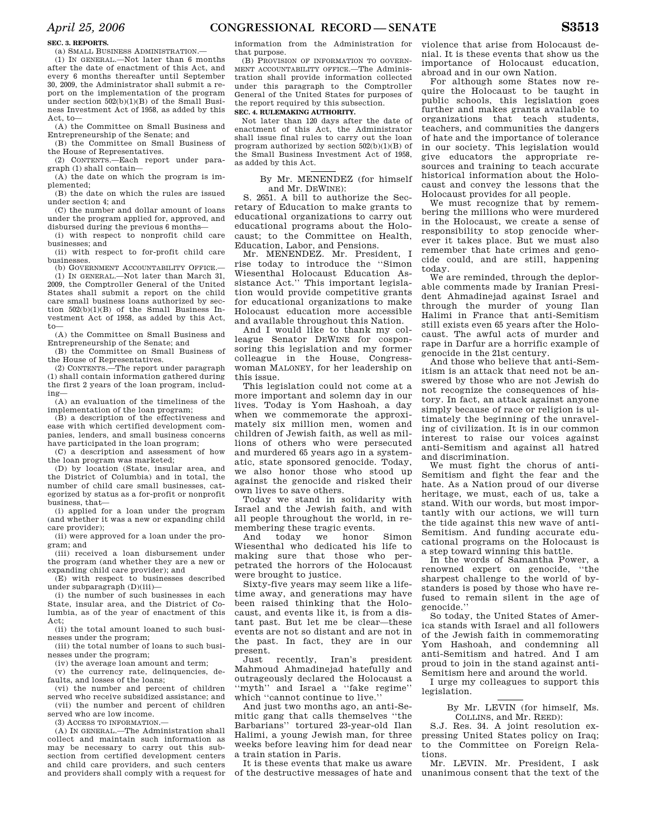## **SEC. 3. REPORTS.**

(a) SMALL BUSINESS ADMINISTRATION.—

(1) IN GENERAL.—Not later than 6 months after the date of enactment of this Act, and every 6 months thereafter until September 30, 2009, the Administrator shall submit a report on the implementation of the program under section 502(b)(1)(B) of the Small Business Investment Act of 1958, as added by this Act, to—

(A) the Committee on Small Business and Entrepreneurship of the Senate; and (B) the Committee on Small Business of

the House of Representatives.

(2) CONTENTS.—Each report under paragraph (1) shall contain—

(A) the date on which the program is implemented;

(B) the date on which the rules are issued under section 4; and

(C) the number and dollar amount of loans under the program applied for, approved, and disbursed during the previous 6 months—

(i) with respect to nonprofit child care businesses; and

(ii) with respect to for-profit child care businesses.

(b) GOVERNMENT ACCOUNTABILITY OFFICE. (1) IN GENERAL.—Not later than March 31, 2009, the Comptroller General of the United States shall submit a report on the child care small business loans authorized by section 502(b)(1)(B) of the Small Business Investment Act of 1958, as added by this Act, to—

(A) the Committee on Small Business and Entrepreneurship of the Senate; and

(B) the Committee on Small Business of the House of Representatives.

(2) CONTENTS.—The report under paragraph (1) shall contain information gathered during the first 2 years of the loan program, including—

(A) an evaluation of the timeliness of the implementation of the loan program;

(B) a description of the effectiveness and ease with which certified development companies, lenders, and small business concerns have participated in the loan program;

(C) a description and assessment of how the loan program was marketed;

(D) by location (State, insular area, and the District of Columbia) and in total, the number of child care small businesses, categorized by status as a for-profit or nonprofit business, that—

(i) applied for a loan under the program (and whether it was a new or expanding child care provider);

(ii) were approved for a loan under the program; and

(iii) received a loan disbursement under the program (and whether they are a new or expanding child care provider); and

(E) with respect to businesses described under subparagraph (D)(iii)—

(i) the number of such businesses in each State, insular area, and the District of Columbia, as of the year of enactment of this Act;

(ii) the total amount loaned to such businesses under the program;

(iii) the total number of loans to such businesses under the program;

(iv) the average loan amount and term;

(v) the currency rate, delinquencies, defaults, and losses of the loans;

(vi) the number and percent of children served who receive subsidized assistance; and (vii) the number and percent of children

served who are low income.

(3) ACCESS TO INFORMATION. (A) IN GENERAL.—The Administration shall collect and maintain such information as may be necessary to carry out this subsection from certified development centers and child care providers, and such centers and providers shall comply with a request for information from the Administration for that purpose.

(B) PROVISION OF INFORMATION TO GOVERN-MENT ACCOUNTABILITY OFFICE.—The Administration shall provide information collected under this paragraph to the Comptroller General of the United States for purposes of the report required by this subsection.

## **SEC. 4. RULEMAKING AUTHORITY.**

Not later than 120 days after the date of enactment of this Act, the Administrator shall issue final rules to carry out the loan program authorized by section 502(b)(1)(B) of the Small Business Investment Act of 1958, as added by this Act.

By Mr. MENENDEZ (for himself and Mr. DEWINE):

S. 2651. A bill to authorize the Secretary of Education to make grants to educational organizations to carry out educational programs about the Holocaust; to the Committee on Health, Education, Labor, and Pensions.

Mr. MENENDEZ. Mr. President, I rise today to introduce the ''Simon Wiesenthal Holocaust Education Assistance Act.'' This important legislation would provide competitive grants for educational organizations to make Holocaust education more accessible and available throughout this Nation.

And I would like to thank my colleague Senator DEWINE for cosponsoring this legislation and my former colleague in the House, Congresswoman MALONEY, for her leadership on this issue.

This legislation could not come at a more important and solemn day in our lives. Today is Yom Hashoah, a day when we commemorate the approximately six million men, women and children of Jewish faith, as well as millions of others who were persecuted and murdered 65 years ago in a systematic, state sponsored genocide. Today, we also honor those who stood up against the genocide and risked their own lives to save others.

Today we stand in solidarity with Israel and the Jewish faith, and with all people throughout the world, in remembering these tragic events.

And today we honor Simon Wiesenthal who dedicated his life to making sure that those who perpetrated the horrors of the Holocaust were brought to justice.

Sixty-five years may seem like a lifetime away, and generations may have been raised thinking that the Holocaust, and events like it, is from a distant past. But let me be clear—these events are not so distant and are not in the past. In fact, they are in our present.

Just recently, Iran's president Mahmoud Ahmadinejad hatefully and outrageously declared the Holocaust a ''myth'' and Israel a ''fake regime'' which ''cannot continue to live.''

And just two months ago, an anti-Semitic gang that calls themselves ''the Barbarians'' tortured 23-year-old Ilan Halimi, a young Jewish man, for three weeks before leaving him for dead near a train station in Paris.

It is these events that make us aware of the destructive messages of hate and violence that arise from Holocaust denial. It is these events that show us the importance of Holocaust education, abroad and in our own Nation.

For although some States now require the Holocaust to be taught in public schools, this legislation goes further and makes grants available to organizations that teach students, teachers, and communities the dangers of hate and the importance of tolerance in our society. This legislation would give educators the appropriate resources and training to teach accurate historical information about the Holocaust and convey the lessons that the Holocaust provides for all people.

We must recognize that by remembering the millions who were murdered in the Holocaust, we create a sense of responsibility to stop genocide wherever it takes place. But we must also remember that hate crimes and genocide could, and are still, happening today.

We are reminded, through the deplorable comments made by Iranian President Ahmadinejad against Israel and through the murder of young Ilan Halimi in France that anti-Semitism still exists even 65 years after the Holocaust. The awful acts of murder and rape in Darfur are a horrific example of genocide in the 21st century.

And those who believe that anti-Semitism is an attack that need not be answered by those who are not Jewish do not recognize the consequences of history. In fact, an attack against anyone simply because of race or religion is ultimately the beginning of the unraveling of civilization. It is in our common interest to raise our voices against anti-Semitism and against all hatred and discrimination.

We must fight the chorus of anti-Semitism and fight the fear and the hate. As a Nation proud of our diverse heritage, we must, each of us, take a stand. With our words, but most importantly with our actions, we will turn the tide against this new wave of anti-Semitism. And funding accurate educational programs on the Holocaust is a step toward winning this battle.

In the words of Samantha Power, a renowned expert on genocide, ''the sharpest challenge to the world of bystanders is posed by those who have refused to remain silent in the age of genocide.''

So today, the United States of America stands with Israel and all followers of the Jewish faith in commemorating Yom Hashoah, and condemning all anti-Semitism and hatred. And I am proud to join in the stand against anti-Semitism here and around the world.

I urge my colleagues to support this legislation.

> By Mr. LEVIN (for himself, Ms. COLLINS, and Mr. REED):

S.J. Res. 34. A joint resolution expressing United States policy on Iraq; to the Committee on Foreign Relations.

Mr. LEVIN. Mr. President, I ask unanimous consent that the text of the